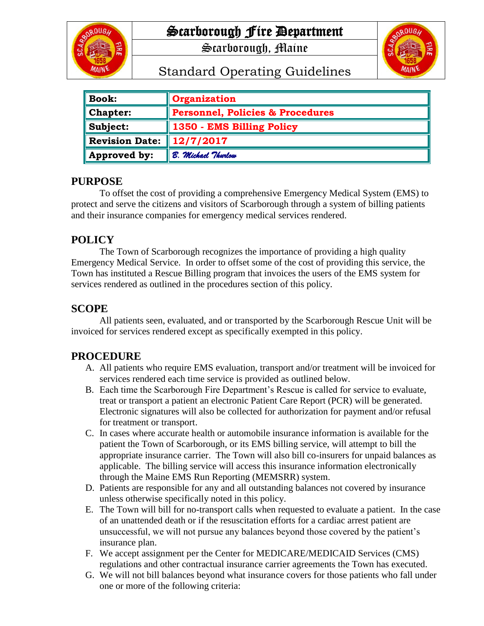

# Scarborough Fire Department

Scarborough, Maine



# Standard Operating Guidelines

| <b>Book:</b>          | <b>Organization</b>              |
|-----------------------|----------------------------------|
| <b>Chapter:</b>       | Personnel, Policies & Procedures |
| Subject:              | 1350 - EMS Billing Policy        |
| <b>Revision Date:</b> | $\ 12/7/2017$                    |
| Approved by:          | B. Michael Thurlow               |

### **PURPOSE**

To offset the cost of providing a comprehensive Emergency Medical System (EMS) to protect and serve the citizens and visitors of Scarborough through a system of billing patients and their insurance companies for emergency medical services rendered.

# **POLICY**

The Town of Scarborough recognizes the importance of providing a high quality Emergency Medical Service. In order to offset some of the cost of providing this service, the Town has instituted a Rescue Billing program that invoices the users of the EMS system for services rendered as outlined in the procedures section of this policy.

## **SCOPE**

All patients seen, evaluated, and or transported by the Scarborough Rescue Unit will be invoiced for services rendered except as specifically exempted in this policy.

### **PROCEDURE**

- A. All patients who require EMS evaluation, transport and/or treatment will be invoiced for services rendered each time service is provided as outlined below.
- B. Each time the Scarborough Fire Department's Rescue is called for service to evaluate, treat or transport a patient an electronic Patient Care Report (PCR) will be generated. Electronic signatures will also be collected for authorization for payment and/or refusal for treatment or transport.
- C. In cases where accurate health or automobile insurance information is available for the patient the Town of Scarborough, or its EMS billing service, will attempt to bill the appropriate insurance carrier. The Town will also bill co-insurers for unpaid balances as applicable. The billing service will access this insurance information electronically through the Maine EMS Run Reporting (MEMSRR) system.
- D. Patients are responsible for any and all outstanding balances not covered by insurance unless otherwise specifically noted in this policy.
- E. The Town will bill for no-transport calls when requested to evaluate a patient. In the case of an unattended death or if the resuscitation efforts for a cardiac arrest patient are unsuccessful, we will not pursue any balances beyond those covered by the patient's insurance plan.
- F. We accept assignment per the Center for MEDICARE/MEDICAID Services (CMS) regulations and other contractual insurance carrier agreements the Town has executed.
- G. We will not bill balances beyond what insurance covers for those patients who fall under one or more of the following criteria: